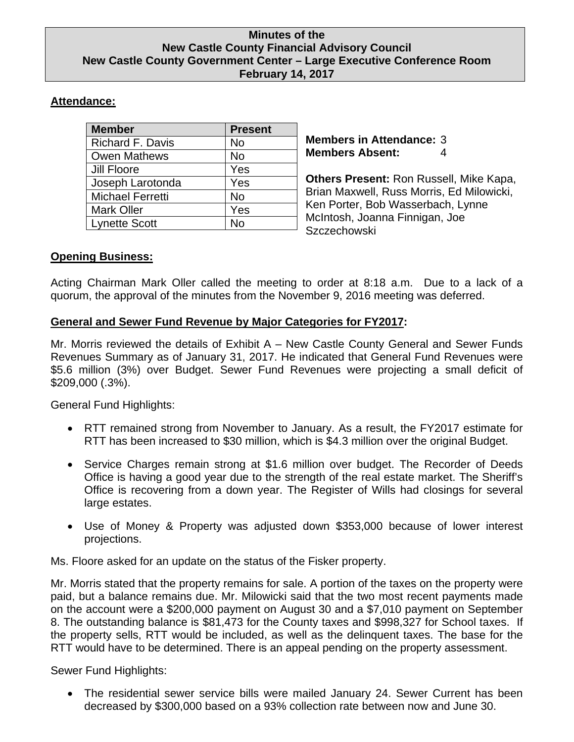#### **Minutes of the New Castle County Financial Advisory Council New Castle County Government Center – Large Executive Conference Room February 14, 2017**

# **Attendance:**

| <b>Member</b>           | <b>Present</b> |
|-------------------------|----------------|
| <b>Richard F. Davis</b> | No             |
| <b>Owen Mathews</b>     | <b>No</b>      |
| Jill Floore             | Yes            |
| Joseph Larotonda        | Yes            |
| <b>Michael Ferretti</b> | <b>No</b>      |
| <b>Mark Oller</b>       | Yes            |
| <b>Lynette Scott</b>    | No             |

**Members in Attendance:** 3 **Members Absent:** 4

**Others Present:** Ron Russell, Mike Kapa, Brian Maxwell, Russ Morris, Ed Milowicki, Ken Porter, Bob Wasserbach, Lynne McIntosh, Joanna Finnigan, Joe **Szczechowski** 

## **Opening Business:**

Acting Chairman Mark Oller called the meeting to order at 8:18 a.m. Due to a lack of a quorum, the approval of the minutes from the November 9, 2016 meeting was deferred.

## **General and Sewer Fund Revenue by Major Categories for FY2017:**

Mr. Morris reviewed the details of Exhibit A – New Castle County General and Sewer Funds Revenues Summary as of January 31, 2017. He indicated that General Fund Revenues were \$5.6 million (3%) over Budget. Sewer Fund Revenues were projecting a small deficit of \$209,000 (.3%).

General Fund Highlights:

- RTT remained strong from November to January. As a result, the FY2017 estimate for RTT has been increased to \$30 million, which is \$4.3 million over the original Budget.
- Service Charges remain strong at \$1.6 million over budget. The Recorder of Deeds Office is having a good year due to the strength of the real estate market. The Sheriff's Office is recovering from a down year. The Register of Wills had closings for several large estates.
- Use of Money & Property was adjusted down \$353,000 because of lower interest projections.

Ms. Floore asked for an update on the status of the Fisker property.

Mr. Morris stated that the property remains for sale. A portion of the taxes on the property were paid, but a balance remains due. Mr. Milowicki said that the two most recent payments made on the account were a \$200,000 payment on August 30 and a \$7,010 payment on September 8. The outstanding balance is \$81,473 for the County taxes and \$998,327 for School taxes. If the property sells, RTT would be included, as well as the delinquent taxes. The base for the RTT would have to be determined. There is an appeal pending on the property assessment.

Sewer Fund Highlights:

 The residential sewer service bills were mailed January 24. Sewer Current has been decreased by \$300,000 based on a 93% collection rate between now and June 30.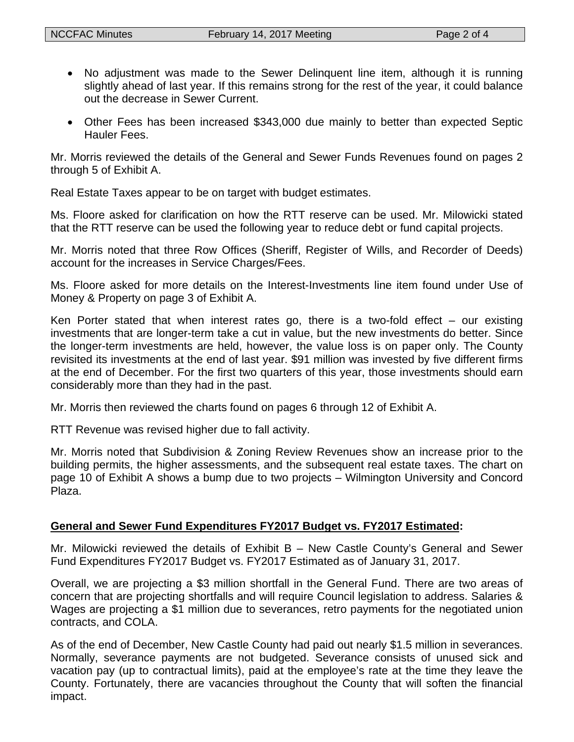- No adjustment was made to the Sewer Delinquent line item, although it is running slightly ahead of last year. If this remains strong for the rest of the year, it could balance out the decrease in Sewer Current.
- Other Fees has been increased \$343,000 due mainly to better than expected Septic Hauler Fees.

Mr. Morris reviewed the details of the General and Sewer Funds Revenues found on pages 2 through 5 of Exhibit A.

Real Estate Taxes appear to be on target with budget estimates.

Ms. Floore asked for clarification on how the RTT reserve can be used. Mr. Milowicki stated that the RTT reserve can be used the following year to reduce debt or fund capital projects.

Mr. Morris noted that three Row Offices (Sheriff, Register of Wills, and Recorder of Deeds) account for the increases in Service Charges/Fees.

Ms. Floore asked for more details on the Interest-Investments line item found under Use of Money & Property on page 3 of Exhibit A.

Ken Porter stated that when interest rates go, there is a two-fold effect  $-$  our existing investments that are longer-term take a cut in value, but the new investments do better. Since the longer-term investments are held, however, the value loss is on paper only. The County revisited its investments at the end of last year. \$91 million was invested by five different firms at the end of December. For the first two quarters of this year, those investments should earn considerably more than they had in the past.

Mr. Morris then reviewed the charts found on pages 6 through 12 of Exhibit A.

RTT Revenue was revised higher due to fall activity.

Mr. Morris noted that Subdivision & Zoning Review Revenues show an increase prior to the building permits, the higher assessments, and the subsequent real estate taxes. The chart on page 10 of Exhibit A shows a bump due to two projects – Wilmington University and Concord Plaza.

## **General and Sewer Fund Expenditures FY2017 Budget vs. FY2017 Estimated:**

Mr. Milowicki reviewed the details of Exhibit B – New Castle County's General and Sewer Fund Expenditures FY2017 Budget vs. FY2017 Estimated as of January 31, 2017.

Overall, we are projecting a \$3 million shortfall in the General Fund. There are two areas of concern that are projecting shortfalls and will require Council legislation to address. Salaries & Wages are projecting a \$1 million due to severances, retro payments for the negotiated union contracts, and COLA.

As of the end of December, New Castle County had paid out nearly \$1.5 million in severances. Normally, severance payments are not budgeted. Severance consists of unused sick and vacation pay (up to contractual limits), paid at the employee's rate at the time they leave the County. Fortunately, there are vacancies throughout the County that will soften the financial impact.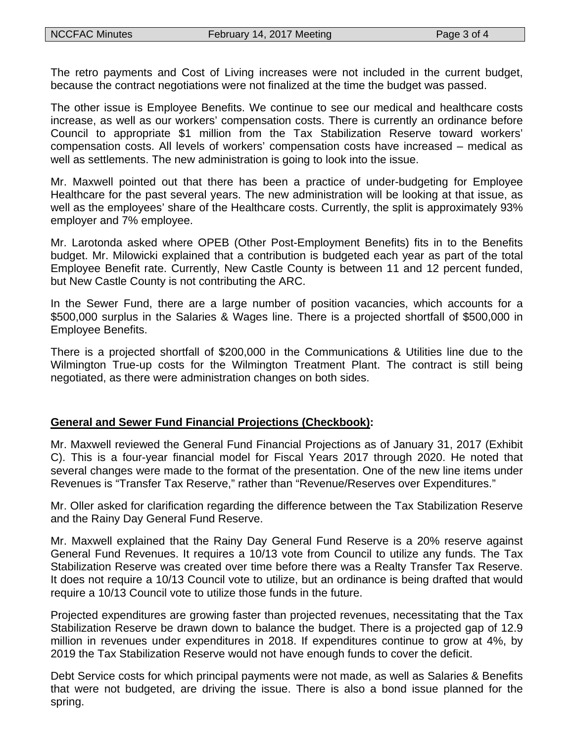The retro payments and Cost of Living increases were not included in the current budget, because the contract negotiations were not finalized at the time the budget was passed.

The other issue is Employee Benefits. We continue to see our medical and healthcare costs increase, as well as our workers' compensation costs. There is currently an ordinance before Council to appropriate \$1 million from the Tax Stabilization Reserve toward workers' compensation costs. All levels of workers' compensation costs have increased – medical as well as settlements. The new administration is going to look into the issue.

Mr. Maxwell pointed out that there has been a practice of under-budgeting for Employee Healthcare for the past several years. The new administration will be looking at that issue, as well as the employees' share of the Healthcare costs. Currently, the split is approximately 93% employer and 7% employee.

Mr. Larotonda asked where OPEB (Other Post-Employment Benefits) fits in to the Benefits budget. Mr. Milowicki explained that a contribution is budgeted each year as part of the total Employee Benefit rate. Currently, New Castle County is between 11 and 12 percent funded, but New Castle County is not contributing the ARC.

In the Sewer Fund, there are a large number of position vacancies, which accounts for a \$500,000 surplus in the Salaries & Wages line. There is a projected shortfall of \$500,000 in Employee Benefits.

There is a projected shortfall of \$200,000 in the Communications & Utilities line due to the Wilmington True-up costs for the Wilmington Treatment Plant. The contract is still being negotiated, as there were administration changes on both sides.

#### **General and Sewer Fund Financial Projections (Checkbook):**

Mr. Maxwell reviewed the General Fund Financial Projections as of January 31, 2017 (Exhibit C). This is a four-year financial model for Fiscal Years 2017 through 2020. He noted that several changes were made to the format of the presentation. One of the new line items under Revenues is "Transfer Tax Reserve," rather than "Revenue/Reserves over Expenditures."

Mr. Oller asked for clarification regarding the difference between the Tax Stabilization Reserve and the Rainy Day General Fund Reserve.

Mr. Maxwell explained that the Rainy Day General Fund Reserve is a 20% reserve against General Fund Revenues. It requires a 10/13 vote from Council to utilize any funds. The Tax Stabilization Reserve was created over time before there was a Realty Transfer Tax Reserve. It does not require a 10/13 Council vote to utilize, but an ordinance is being drafted that would require a 10/13 Council vote to utilize those funds in the future.

Projected expenditures are growing faster than projected revenues, necessitating that the Tax Stabilization Reserve be drawn down to balance the budget. There is a projected gap of 12.9 million in revenues under expenditures in 2018. If expenditures continue to grow at 4%, by 2019 the Tax Stabilization Reserve would not have enough funds to cover the deficit.

Debt Service costs for which principal payments were not made, as well as Salaries & Benefits that were not budgeted, are driving the issue. There is also a bond issue planned for the spring.